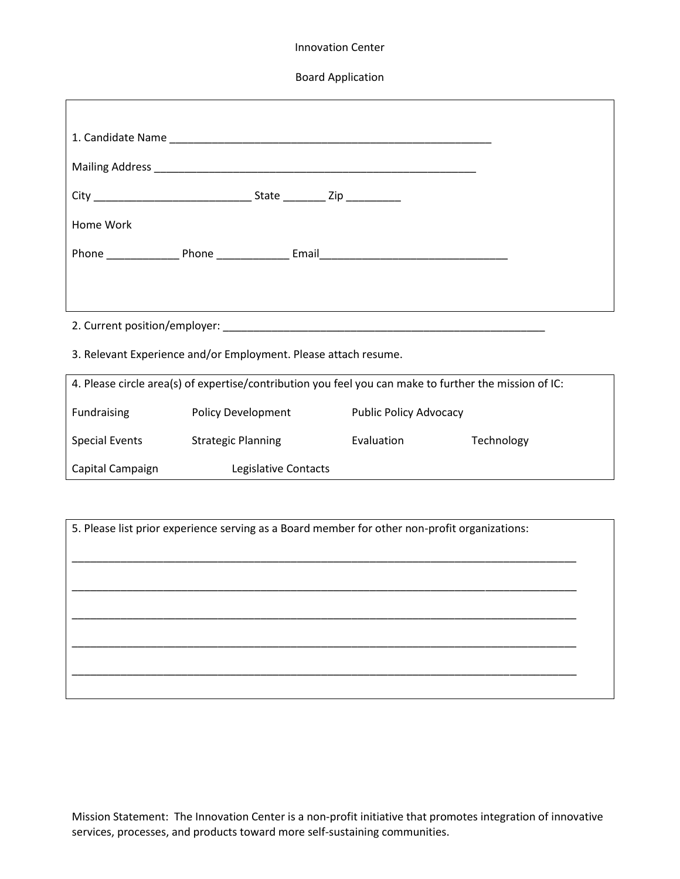## Innovation Center

Board Application

| Home Work                                                                                              |  |  |  |  |
|--------------------------------------------------------------------------------------------------------|--|--|--|--|
|                                                                                                        |  |  |  |  |
|                                                                                                        |  |  |  |  |
|                                                                                                        |  |  |  |  |
|                                                                                                        |  |  |  |  |
| 3. Relevant Experience and/or Employment. Please attach resume.                                        |  |  |  |  |
| 4. Please circle area(s) of expertise/contribution you feel you can make to further the mission of IC: |  |  |  |  |

| Fundraising      | Policy Development        | <b>Public Policy Advocacy</b> |            |
|------------------|---------------------------|-------------------------------|------------|
| Special Events   | <b>Strategic Planning</b> | Evaluation                    | Technology |
| Capital Campaign | Legislative Contacts      |                               |            |

5. Please list prior experience serving as a Board member for other non-profit organizations: \_\_\_\_\_\_\_\_\_\_\_\_\_\_\_\_\_\_\_\_\_\_\_\_\_\_\_\_\_\_\_\_\_\_\_\_\_\_\_\_\_\_\_\_\_\_\_\_\_\_\_\_\_\_\_\_\_\_\_\_\_\_\_\_\_\_\_\_\_\_\_\_\_\_\_\_\_\_\_\_\_\_\_ \_\_\_\_\_\_\_\_\_\_\_\_\_\_\_\_\_\_\_\_\_\_\_\_\_\_\_\_\_\_\_\_\_\_\_\_\_\_\_\_\_\_\_\_\_\_\_\_\_\_\_\_\_\_\_\_\_\_\_\_\_\_\_\_\_\_\_\_\_\_\_\_\_\_\_\_\_\_\_\_\_\_\_ \_\_\_\_\_\_\_\_\_\_\_\_\_\_\_\_\_\_\_\_\_\_\_\_\_\_\_\_\_\_\_\_\_\_\_\_\_\_\_\_\_\_\_\_\_\_\_\_\_\_\_\_\_\_\_\_\_\_\_\_\_\_\_\_\_\_\_\_\_\_\_\_\_\_\_\_\_\_\_\_\_\_\_ \_\_\_\_\_\_\_\_\_\_\_\_\_\_\_\_\_\_\_\_\_\_\_\_\_\_\_\_\_\_\_\_\_\_\_\_\_\_\_\_\_\_\_\_\_\_\_\_\_\_\_\_\_\_\_\_\_\_\_\_\_\_\_\_\_\_\_\_\_\_\_\_\_\_\_\_\_\_\_\_\_\_\_ \_\_\_\_\_\_\_\_\_\_\_\_\_\_\_\_\_\_\_\_\_\_\_\_\_\_\_\_\_\_\_\_\_\_\_\_\_\_\_\_\_\_\_\_\_\_\_\_\_\_\_\_\_\_\_\_\_\_\_\_\_\_\_\_\_\_\_\_\_\_\_\_\_\_\_\_\_\_\_\_\_\_\_

Mission Statement: The Innovation Center is a non-profit initiative that promotes integration of innovative services, processes, and products toward more self-sustaining communities.